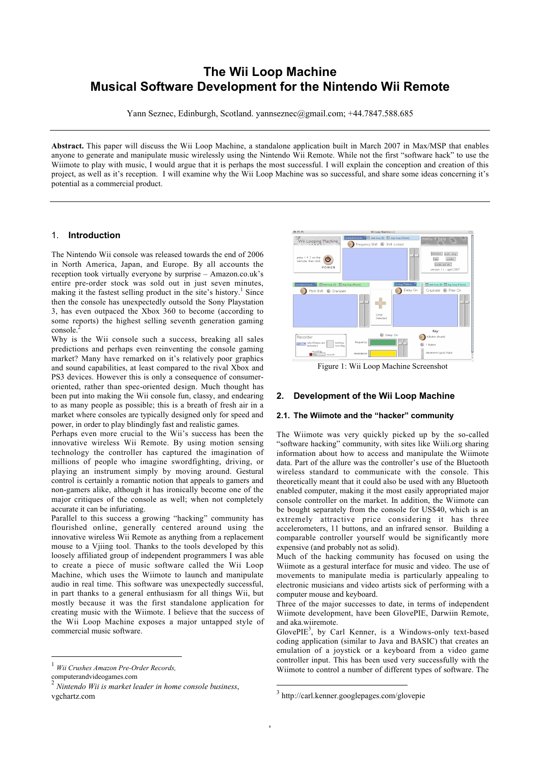# **The Wii Loop Machine Musical Software Development for the Nintendo Wii Remote**

Yann Seznec, Edinburgh, Scotland. yannseznec@gmail.com; +44.7847.588.685

**Abstract.** This paper will discuss the Wii Loop Machine, a standalone application built in March 2007 in Max/MSP that enables anyone to generate and manipulate music wirelessly using the Nintendo Wii Remote. While not the first "software hack" to use the Wiimote to play with music. I would argue that it is perhaps the most successful. I will explain the conception and creation of this project, as well as it's reception. I will examine why the Wii Loop Machine was so successful, and share some ideas concerning it's potential as a commercial product.

#### 1. **Introduction**

The Nintendo Wii console was released towards the end of 2006 in North America, Japan, and Europe. By all accounts the reception took virtually everyone by surprise – Amazon.co.uk's entire pre-order stock was sold out in just seven minutes, making it the fastest selling product in the site's history.<sup>1</sup> Since then the console has unexpectedly outsold the Sony Playstation 3, has even outpaced the Xbox 360 to become (according to some reports) the highest selling seventh generation gaming console.

Why is the Wii console such a success, breaking all sales predictions and perhaps even reinventing the console gaming market? Many have remarked on it's relatively poor graphics and sound capabilities, at least compared to the rival Xbox and PS3 devices. However this is only a consequence of consumeroriented, rather than spec-oriented design. Much thought has been put into making the Wii console fun, classy, and endearing to as many people as possible; this is a breath of fresh air in a market where consoles are typically designed only for speed and power, in order to play blindingly fast and realistic games.

Perhaps even more crucial to the Wii's success has been the innovative wireless Wii Remote. By using motion sensing technology the controller has captured the imagination of millions of people who imagine swordfighting, driving, or playing an instrument simply by moving around. Gestural control is certainly a romantic notion that appeals to gamers and non-gamers alike, although it has ironically become one of the major critiques of the console as well; when not completely accurate it can be infuriating.

Parallel to this success a growing "hacking" community has flourished online, generally centered around using the innovative wireless Wii Remote as anything from a replacement mouse to a Vjiing tool. Thanks to the tools developed by this loosely affiliated group of independent programmers I was able to create a piece of music software called the Wii Loop Machine, which uses the Wiimote to launch and manipulate audio in real time. This software was unexpectedly successful, in part thanks to a general enthusiasm for all things Wii, but mostly because it was the first standalone application for creating music with the Wiimote. I believe that the success of the Wii Loop Machine exposes a major untapped style of commercial music software.



Figure 1: Wii Loop Machine Screenshot

## **2. Development of the Wii Loop Machine**

#### **2.1. The Wiimote and the "hacker" community**

The Wiimote was very quickly picked up by the so-called "software hacking" community, with sites like Wiili.org sharing information about how to access and manipulate the Wiimote data. Part of the allure was the controller's use of the Bluetooth wireless standard to communicate with the console. This theoretically meant that it could also be used with any Bluetooth enabled computer, making it the most easily appropriated major console controller on the market. In addition, the Wiimote can be bought separately from the console for US\$40, which is an extremely attractive price considering it has three accelerometers, 11 buttons, and an infrared sensor. Building a comparable controller yourself would be significantly more expensive (and probably not as solid).

Much of the hacking community has focused on using the Wiimote as a gestural interface for music and video. The use of movements to manipulate media is particularly appealing to electronic musicians and video artists sick of performing with a computer mouse and keyboard.

Three of the major successes to date, in terms of independent Wiimote development, have been GlovePIE, Darwiin Remote, and aka.wiiremote.

Glove $PIE<sup>3</sup>$ , by Carl Kenner, is a Windows-only text-based coding application (similar to Java and BASIC) that creates an emulation of a joystick or a keyboard from a video game controller input. This has been used very successfully with the Wiimote to control a number of different types of software. The

 <sup>1</sup> *Wii Crushes Amazon Pre-Order Records,* computerandvideogames.com

<sup>2</sup> *Nintendo Wii is market leader in home console business*, vgchartz.com

 <sup>3</sup> http://carl.kenner.googlepages.com/glovepie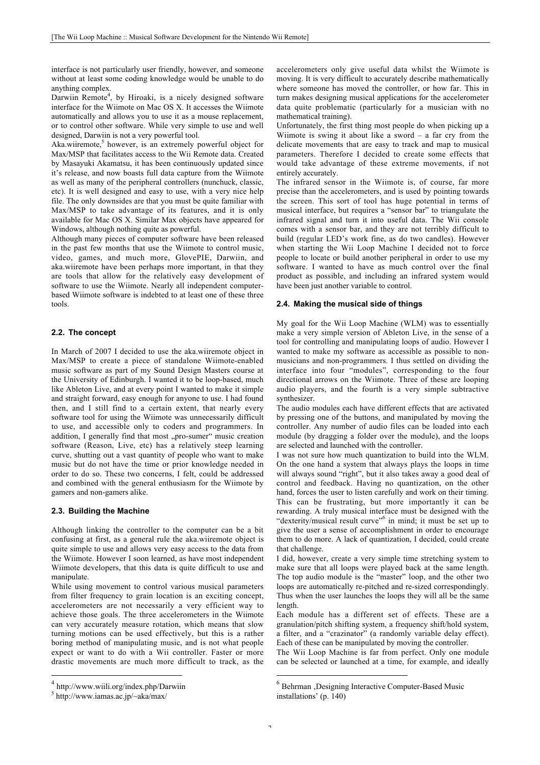interface is not particularly user friendly, however, and someone without at least some coding knowledge would be unable to do anything complex.

Darwiin Remote<sup>4</sup>, by Hiroaki, is a nicely designed software interface for the Wiimote on Mac OS X. It accesses the Wiimote automatically and allows you to use it as a mouse replacement, or to control other software. While very simple to use and well designed, Darwiin is not a very powerful tool.

Aka.wiiremote,<sup>5</sup> however, is an extremely powerful object for Max/MSP that facilitates access to the Wii Remote data. Created by Masayuki Akamatsu, it has been continuously updated since it's release, and now boasts full data capture from the Wiimote as well as many of the peripheral controllers (nunchuck, classic, etc). It is well designed and easy to use, with a very nice help file. The only downsides are that you must be quite familiar with Max/MSP to take advantage of its features, and it is only available for Mac OS X. Similar Max objects have appeared for Windows, although nothing quite as powerful.

Although many pieces of computer software have been released in the past few months that use the Wiimote to control music, video, games, and much more, GlovePIE, Darwiin, and aka.wiiremote have been perhaps more important, in that they are tools that allow for the relatively easy development of software to use the Wiimote. Nearly all independent computerbased Wiimote software is indebted to at least one of these three tools.

#### **2.2. The concept**

In March of 2007 I decided to use the aka.wiiremote object in Max/MSP to create a piece of standalone Wiimote-enabled music software as part of my Sound Design Masters course at the University of Edinburgh. I wanted it to be loop-based, much like Ableton Live, and at every point I wanted to make it simple and straight forward, easy enough for anyone to use. I had found then, and I still find to a certain extent, that nearly every software tool for using the Wiimote was unnecessarily difficult to use, and accessible only to coders and programmers. In addition, I generally find that most "pro-sumer" music creation software (Reason, Live, etc) has a relatively steep learning curve, shutting out a vast quantity of people who want to make music but do not have the time or prior knowledge needed in order to do so. These two concerns, I felt, could be addressed and combined with the general enthusiasm for the Wiimote by gamers and non-gamers alike.

#### **2.3. Building the Machine**

Although linking the controller to the computer can be a bit confusing at first, as a general rule the aka.wiiremote object is quite simple to use and allows very easy access to the data from the Wiimote. However I soon learned, as have most independent Wiimote developers, that this data is quite difficult to use and manipulate.

While using movement to control various musical parameters from filter frequency to grain location is an exciting concept, accelerometers are not necessarily a very efficient way to achieve those goals. The three accelerometers in the Wiimote can very accurately measure rotation, which means that slow turning motions can be used effectively, but this is a rather boring method of manipulating music, and is not what people expect or want to do with a Wii controller. Faster or more drastic movements are much more difficult to track, as the accelerometers only give useful data whilst the Wiimote is moving. It is very difficult to accurately describe mathematically where someone has moved the controller, or how far. This in turn makes designing musical applications for the accelerometer data quite problematic (particularly for a musician with no mathematical training).

Unfortunately, the first thing most people do when picking up a Wiimote is swing it about like a sword  $-$  a far cry from the delicate movements that are easy to track and map to musical parameters. Therefore I decided to create some effects that would take advantage of these extreme movements, if not entirely accurately.

The infrared sensor in the Wiimote is, of course, far more precise than the accelerometers, and is used by pointing towards the screen. This sort of tool has huge potential in terms of musical interface, but requires a "sensor bar" to triangulate the infrared signal and turn it into useful data. The Wii console comes with a sensor bar, and they are not terribly difficult to build (regular LED's work fine, as do two candles). However when starting the Wii Loop Machine I decided not to force people to locate or build another peripheral in order to use my software. I wanted to have as much control over the final product as possible, and including an infrared system would have been just another variable to control.

#### **2.4. Making the musical side of things**

My goal for the Wii Loop Machine (WLM) was to essentially make a very simple version of Ableton Live, in the sense of a tool for controlling and manipulating loops of audio. However I wanted to make my software as accessible as possible to nonmusicians and non-programmers. I thus settled on dividing the interface into four "modules", corresponding to the four directional arrows on the Wiimote. Three of these are looping audio players, and the fourth is a very simple subtractive synthesizer.

The audio modules each have different effects that are activated by pressing one of the buttons, and manipulated by moving the controller. Any number of audio files can be loaded into each module (by dragging a folder over the module), and the loops are selected and launched with the controller.

I was not sure how much quantization to build into the WLM. On the one hand a system that always plays the loops in time will always sound "right", but it also takes away a good deal of control and feedback. Having no quantization, on the other hand, forces the user to listen carefully and work on their timing. This can be frustrating, but more importantly it can be rewarding. A truly musical interface must be designed with the "dexterity/musical result curve" <sup>6</sup> in mind; it must be set up to give the user a sense of accomplishment in order to encourage them to do more. A lack of quantization, I decided, could create that challenge.

I did, however, create a very simple time stretching system to make sure that all loops were played back at the same length. The top audio module is the "master" loop, and the other two loops are automatically re-pitched and re-sized correspondingly. Thus when the user launches the loops they will all be the same length.

Each module has a different set of effects. These are a granulation/pitch shifting system, a frequency shift/hold system, a filter, and a "crazinator" (a randomly variable delay effect). Each of these can be manipulated by moving the controller.

The Wii Loop Machine is far from perfect. Only one module can be selected or launched at a time, for example, and ideally

 <sup>4</sup> http://www.wiili.org/index.php/Darwiin

<sup>5</sup> http://www.iamas.ac.jp/~aka/max/

 $6$  Behrman , Designing Interactive Computer-Based Music installations' (p. 140)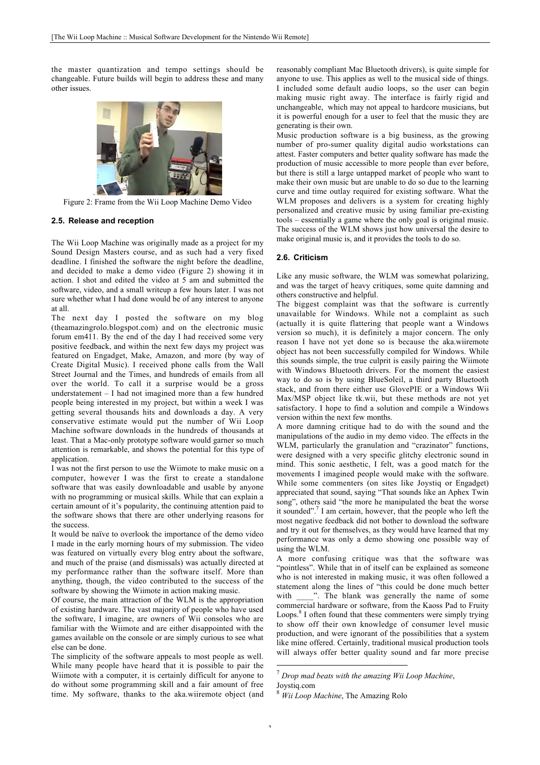the master quantization and tempo settings should be changeable. Future builds will begin to address these and many other issues.



Figure 2: Frame from the Wii Loop Machine Demo Video

#### **2.5. Release and reception**

The Wii Loop Machine was originally made as a project for my Sound Design Masters course, and as such had a very fixed deadline. I finished the software the night before the deadline, and decided to make a demo video (Figure 2) showing it in action. I shot and edited the video at 5 am and submitted the software, video, and a small writeup a few hours later. I was not sure whether what I had done would be of any interest to anyone at all.

The next day I posted the software on my blog (theamazingrolo.blogspot.com) and on the electronic music forum em411. By the end of the day I had received some very positive feedback, and within the next few days my project was featured on Engadget, Make, Amazon, and more (by way of Create Digital Music). I received phone calls from the Wall Street Journal and the Times, and hundreds of emails from all over the world. To call it a surprise would be a gross understatement – I had not imagined more than a few hundred people being interested in my project, but within a week I was getting several thousands hits and downloads a day. A very conservative estimate would put the number of Wii Loop Machine software downloads in the hundreds of thousands at least. That a Mac-only prototype software would garner so much attention is remarkable, and shows the potential for this type of application.

I was not the first person to use the Wiimote to make music on a computer, however I was the first to create a standalone software that was easily downloadable and usable by anyone with no programming or musical skills. While that can explain a certain amount of it's popularity, the continuing attention paid to the software shows that there are other underlying reasons for the success.

It would be naïve to overlook the importance of the demo video I made in the early morning hours of my submission. The video was featured on virtually every blog entry about the software, and much of the praise (and dismissals) was actually directed at my performance rather than the software itself. More than anything, though, the video contributed to the success of the software by showing the Wiimote in action making music.

Of course, the main attraction of the WLM is the appropriation of existing hardware. The vast majority of people who have used the software, I imagine, are owners of Wii consoles who are familiar with the Wiimote and are either disappointed with the games available on the console or are simply curious to see what else can be done.

The simplicity of the software appeals to most people as well. While many people have heard that it is possible to pair the Wiimote with a computer, it is certainly difficult for anyone to do without some programming skill and a fair amount of free time. My software, thanks to the aka.wiiremote object (and reasonably compliant Mac Bluetooth drivers), is quite simple for anyone to use. This applies as well to the musical side of things. I included some default audio loops, so the user can begin making music right away. The interface is fairly rigid and unchangeable, which may not appeal to hardcore musicians, but it is powerful enough for a user to feel that the music they are generating is their own.

Music production software is a big business, as the growing number of pro-sumer quality digital audio workstations can attest. Faster computers and better quality software has made the production of music accessible to more people than ever before, but there is still a large untapped market of people who want to make their own music but are unable to do so due to the learning curve and time outlay required for existing software. What the WLM proposes and delivers is a system for creating highly personalized and creative music by using familiar pre-existing tools – essentially a game where the only goal is original music. The success of the WLM shows just how universal the desire to make original music is, and it provides the tools to do so.

#### **2.6. Criticism**

Like any music software, the WLM was somewhat polarizing, and was the target of heavy critiques, some quite damning and others constructive and helpful.

The biggest complaint was that the software is currently unavailable for Windows. While not a complaint as such (actually it is quite flattering that people want a Windows version so much), it is definitely a major concern. The only reason I have not yet done so is because the aka.wiiremote object has not been successfully compiled for Windows. While this sounds simple, the true culprit is easily pairing the Wiimote with Windows Bluetooth drivers. For the moment the easiest way to do so is by using BlueSoleil, a third party Bluetooth stack, and from there either use GlovePIE or a Windows Wii Max/MSP object like tk.wii, but these methods are not yet satisfactory. I hope to find a solution and compile a Windows version within the next few months.

A more damning critique had to do with the sound and the manipulations of the audio in my demo video. The effects in the WLM, particularly the granulation and "crazinator" functions, were designed with a very specific glitchy electronic sound in mind. This sonic aesthetic, I felt, was a good match for the movements I imagined people would make with the software. While some commenters (on sites like Joystiq or Engadget) appreciated that sound, saying "That sounds like an Aphex Twin song", others said "the more he manipulated the beat the worse it sounded". <sup>7</sup> I am certain, however, that the people who left the most negative feedback did not bother to download the software and try it out for themselves, as they would have learned that my performance was only a demo showing one possible way of using the WLM.

A more confusing critique was that the software was "pointless". While that in of itself can be explained as someone who is not interested in making music, it was often followed a statement along the lines of "this could be done much better with \_\_\_\_". The blank was generally the name of some commercial hardware or software, from the Kaoss Pad to Fruity Loops.<sup>8</sup> I often found that these commenters were simply trying to show off their own knowledge of consumer level music production, and were ignorant of the possibilities that a system like mine offered. Certainly, traditional musical production tools will always offer better quality sound and far more precise

 <sup>7</sup> *Drop mad beats with the amazing Wii Loop Machine*, Joystiq.com

<sup>8</sup> *Wii Loop Machine*, The Amazing Rolo